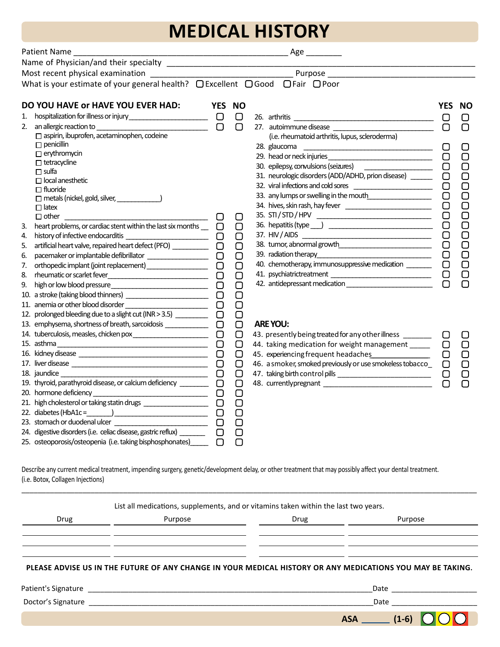# **MEDICAL HISTORY**

|    | Patient Name ________________                                                    |        |        | _ Age __________                                                 |            |           |
|----|----------------------------------------------------------------------------------|--------|--------|------------------------------------------------------------------|------------|-----------|
|    |                                                                                  |        |        |                                                                  |            |           |
|    |                                                                                  |        |        |                                                                  |            |           |
|    | What is your estimate of your general health? □ Excellent □ Good □ Fair □ Poor   |        |        |                                                                  |            |           |
|    | DO YOU HAVE OF HAVE YOU EVER HAD:                                                |        | YES NO |                                                                  | <b>YES</b> | <b>NO</b> |
| 1. |                                                                                  |        | $\Box$ |                                                                  | $\Box$     | ▢         |
| 2. | an allergic reaction to $\qquad \qquad \square$                                  |        | $\Box$ |                                                                  | $\Box$     | $\Box$    |
|    | $\Box$ aspirin, ibuprofen, acetaminophen, codeine                                |        |        | (i.e. rheumatoid arthritis, lupus, scleroderma)                  |            |           |
|    | $\Box$ penicillin                                                                |        |        | 28. glaucoma                                                     |            |           |
|    | $\Box$ erythromycin                                                              |        |        |                                                                  | $\Box$     | $\Box$    |
|    | $\Box$ tetracycline                                                              |        |        |                                                                  | $\Box$     |           |
|    | $\Box$ sulfa                                                                     |        |        | 31. neurologic disorders (ADD/ADHD, prion disease) ______        | $\Box$     | $\Box$    |
|    | $\Box$ local anesthetic                                                          |        |        | 32. viral infections and cold sores                              | $\Box$     | $\Box$    |
|    | $\Box$ fluoride<br>metals (nickel, gold, silver, _______________)                |        |        | 33. any lumps or swelling in the mouth                           | $\Box$     | $\Box$    |
|    | $\Box$ latex                                                                     |        |        |                                                                  | $\Box$     | $\Box$    |
|    | $\begin{array}{ccc} \hline \end{array}$<br>$\Box$ other                          |        | O      |                                                                  | $\Box$     | $\Box$    |
| 3. | heart problems, or cardiac stent within the last six months $\Box$ $\Box$        |        | $\Box$ |                                                                  | $\Box$     | $\Box$    |
| 4. |                                                                                  | О      | $\Box$ |                                                                  | $\Box$     | $\Box$    |
| 5. | artificial heart valve, repaired heart defect (PFO) ____________________________ |        | $\Box$ |                                                                  | $\Box$     | $\Box$    |
| 6. | pacemaker or implantable defibrillator __________________                        | $\Box$ | $\Box$ |                                                                  | $\Box$     | $\Box$    |
| 7. | orthopedic implant (joint replacement) __________________                        | $\Box$ | $\Box$ | 40. chemotherapy, immunosuppressive medication _______           | $\Box$     | $\Box$    |
| 8. |                                                                                  | $\Box$ | $\Box$ |                                                                  | $\Box$     | $\Box$    |
| 9. |                                                                                  | $\Box$ | $\Box$ | 42. antidepressant medication _________________________          | $\Box$     |           |
|    |                                                                                  | $\Box$ | $\Box$ |                                                                  |            |           |
|    |                                                                                  | $\Box$ | $\Box$ |                                                                  |            |           |
|    | 12. prolonged bleeding due to a slight cut (INR > 3.5) _________                 | $\Box$ | $\Box$ |                                                                  |            |           |
|    | 13. emphysema, shortness of breath, sarcoidosis _____________                    | $\Box$ | $\Box$ | <b>ARE YOU:</b>                                                  |            |           |
|    | 14. tuberculosis, measles, chicken pox________________________                   | $\Box$ | $\Box$ | 43. presently being treated for any other illness                |            |           |
|    | 15. asthma                                                                       | 0      | $\Box$ | 44. taking medication for weight management _____                |            | $\Box$    |
|    |                                                                                  | $\Box$ | $\Box$ | 45. experiencing frequent headaches                              | $\Box$     | $\Box$    |
|    |                                                                                  | $\Box$ | $\Box$ | 46. a smoker, smoked previously or use smokeless tobacco_ $\Box$ |            | $\Box$    |
|    |                                                                                  | $\Box$ | $\Box$ |                                                                  | $\Box$     | $\Box$    |
|    | 19. thyroid, parathyroid disease, or calcium deficiency                          | $\Box$ | $\Box$ |                                                                  | $\Box$     | $\Box$    |
|    |                                                                                  | О      | $\Box$ |                                                                  |            |           |
|    |                                                                                  | $\Box$ | $\Box$ |                                                                  |            |           |
|    |                                                                                  | $\Box$ | $\Box$ |                                                                  |            |           |
|    |                                                                                  | $\Box$ | $\Box$ |                                                                  |            |           |
|    | 24. digestive disorders (i.e. celiac disease, gastric reflux) _______            | $\Box$ | $\Box$ |                                                                  |            |           |
|    | 25. osteoporosis/osteopenia (i.e. taking bisphosphonates)                        |        | $\Box$ |                                                                  |            |           |
|    |                                                                                  |        |        |                                                                  |            |           |

Describe any current medical treatment, impending surgery, genetic/development delay, or other treatment that may possibly affect your dental treatment. (i.e. Botox, Collagen Injections)

| List all medications, supplements, and or vitamins taken within the last two years. |                                                           |      |                                                                                                                                                                                                                                |  |  |
|-------------------------------------------------------------------------------------|-----------------------------------------------------------|------|--------------------------------------------------------------------------------------------------------------------------------------------------------------------------------------------------------------------------------|--|--|
| Drug                                                                                | Purpose                                                   | Drug | Purpose                                                                                                                                                                                                                        |  |  |
|                                                                                     |                                                           |      |                                                                                                                                                                                                                                |  |  |
|                                                                                     |                                                           |      |                                                                                                                                                                                                                                |  |  |
|                                                                                     |                                                           |      | PLEASE ADVISE US IN THE FUTURE OF ANY CHANGE IN YOUR MEDICAL HISTORY OR ANY MEDICATIONS YOU MAY BE TAKING.                                                                                                                     |  |  |
| Patient's Signature                                                                 | <u> 1989 - John Stein, Amerikaansk politiker († 1989)</u> |      | Date and the contract of the contract of the contract of the contract of the contract of the contract of the contract of the contract of the contract of the contract of the contract of the contract of the contract of the c |  |  |
| $\sim$ $\sim$ $\sim$ $\sim$ $\sim$                                                  |                                                           |      | . .                                                                                                                                                                                                                            |  |  |

\_\_\_\_\_\_\_\_\_\_\_\_\_\_\_\_\_\_\_\_\_\_\_\_\_\_\_\_\_\_\_\_\_\_\_\_\_\_\_\_\_\_\_\_\_\_\_\_\_\_\_\_\_\_\_\_\_\_\_\_\_\_\_\_\_\_\_\_\_\_\_\_\_\_\_\_\_\_\_\_\_\_\_\_\_\_\_\_\_\_\_\_\_\_\_\_\_\_\_\_\_\_\_\_\_\_\_\_\_\_\_\_

|                     | <u>rvn</u> |
|---------------------|------------|
| Doctor's Signature  | Date       |
| Patient's Signature | ``<br>Date |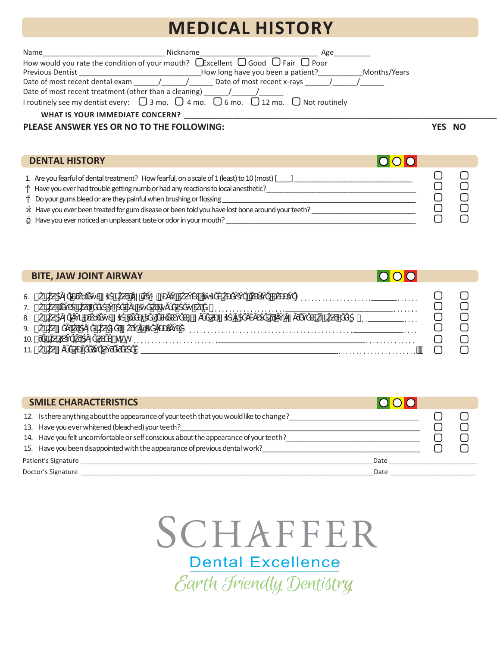## **MEDICAL HISTORY**

| Name                                                  | Nickname                                                                                                    | Age          |
|-------------------------------------------------------|-------------------------------------------------------------------------------------------------------------|--------------|
|                                                       | How would you rate the condition of your mouth? $\Box$ Excellent $\Box$ Good $\Box$ Fair $\Box$ Poor        |              |
| <b>Previous Dentist</b>                               | How long have you been a patient?                                                                           | Months/Years |
| Date of most recent dental exam                       | Date of most recent x-rays /<br>$\sqrt{1}$                                                                  |              |
| Date of most recent treatment (other than a cleaning) |                                                                                                             |              |
|                                                       | I routinely see my dentist every: $\Box$ 3 mo. $\Box$ 4 mo. $\Box$ 6 mo. $\Box$ 12 mo. $\Box$ Not routinely |              |
| <b>WHAT IS YOUR IMMEDIATE CONCERN?</b>                |                                                                                                             |              |

#### **PLEASE ANSWER YES OR NO TO THE FOLLOWING:**

 **YES NO**

| <b>DENTAL HISTORY</b>                                                                                                                                                                                                                                                                                                                                                                                                    |  |  |
|--------------------------------------------------------------------------------------------------------------------------------------------------------------------------------------------------------------------------------------------------------------------------------------------------------------------------------------------------------------------------------------------------------------------------|--|--|
| 1. Are you fearful of dental treatment? How fearful, on a scale of 1 (least) to 10 (most) [<br>Have you ever had trouble getting numb or had any reactions to local anesthetic?<br>Do your gums bleed or are they painful when brushing or flossing<br>Have you ever been treated for gum disease or been told you have lost bone around your teeth?<br>Have you ever noticed an unpleasant taste or odor in your mouth? |  |  |

| <b>BITE, JAW JOINT AIRWAY</b>                                                                                                                                                                                                                                                                                                                                                           |          |  |
|-----------------------------------------------------------------------------------------------------------------------------------------------------------------------------------------------------------------------------------------------------------------------------------------------------------------------------------------------------------------------------------------|----------|--|
| the contract of the contract of the contract of the contract of the contract of<br>the contract of the con-<br>$6.$ )<br>the contract of the contract of the con-<br>$7.$ )<br>the contract of the contract of the contract of the<br>$\sim$ $\sim$<br>the contract of the contract of the<br>contract and state<br>8.<br>$9.$ )<br>10.<br>#h°h<br>$11.$ )<br>$\cdot$ $\cdot$<br>$\sim$ | $\cdots$ |  |

|     | <b>SMILE CHARACTERISTICS</b>                                                          |  |  |
|-----|---------------------------------------------------------------------------------------|--|--|
| 12. | Is there anything about the appearance of your teeth that you would like to change?   |  |  |
|     | 13. Have you ever whitened (bleached) your teeth?                                     |  |  |
|     | 14. Have you felt uncomfortable or self conscious about the appearance of your teeth? |  |  |
|     | 15. Have you been disappointed with the appearance of previous dental work?           |  |  |
|     | Patient's Signature<br>Date                                                           |  |  |
|     | Doctor's Signature<br>Date                                                            |  |  |

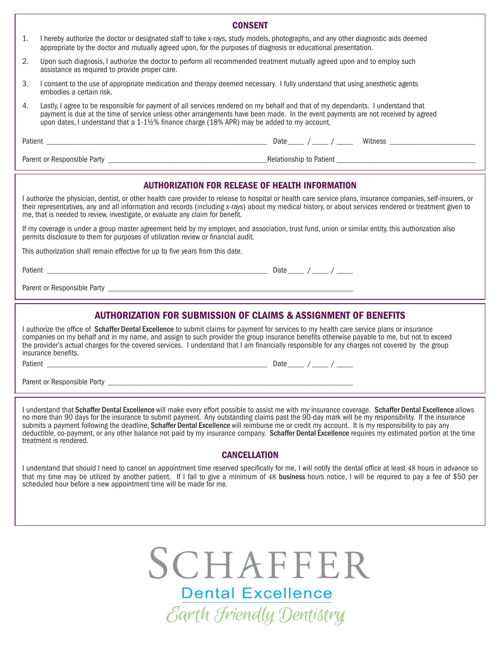| <b>CONSENT</b> |                                                                                                                                                                                                                                                                                                                                                                                                            |  |  |  |  |  |
|----------------|------------------------------------------------------------------------------------------------------------------------------------------------------------------------------------------------------------------------------------------------------------------------------------------------------------------------------------------------------------------------------------------------------------|--|--|--|--|--|
| 1.             | I hereby authorize the doctor or designated staff to take x-rays, study models, photographs, and any other diagnostic aids deemed<br>appropriate by the doctor and mutually agreed upon, for the purposes of diagnosis or educational presentation.                                                                                                                                                        |  |  |  |  |  |
| 2.             | Upon such diagnosis, I authorize the doctor to perform all recommended treatment mutually agreed upon and to employ such<br>assistance as required to provide proper care.                                                                                                                                                                                                                                 |  |  |  |  |  |
| 3.             | I consent to the use of appropriate medication and therapy deemed necessary. I fully understand that using anesthetic agents<br>embodies a certain risk.                                                                                                                                                                                                                                                   |  |  |  |  |  |
| 4.             | Lastly, I agree to be responsible for payment of all services rendered on my behalf and that of my dependants. I understand that<br>payment is due at the time of service unless other arrangements have been made. In the event payments are not received by agreed<br>upon dates, I understand that a 1-1½% finance charge (18% APR) may be added to my account.                                         |  |  |  |  |  |
|                |                                                                                                                                                                                                                                                                                                                                                                                                            |  |  |  |  |  |
|                |                                                                                                                                                                                                                                                                                                                                                                                                            |  |  |  |  |  |
|                | AUTHORIZATION FOR RELEASE OF HEALTH INFORMATION                                                                                                                                                                                                                                                                                                                                                            |  |  |  |  |  |
|                | I authorize the physician, dentist, or other health care provider to release to hospital or health care service plans, insurance companies, self-insurers, or<br>their representatives, any and all information and records (including x-rays) about my medical history, or about services rendered or treatment given to<br>me, that is needed to review, investigate, or evaluate any claim for benefit. |  |  |  |  |  |
|                | If my coverage is under a group master agreement held by my employer, and association, trust fund, union or similar entity, this authorization also<br>permits disclosure to them for purposes of utilization review or financial audit.                                                                                                                                                                   |  |  |  |  |  |
|                | This authorization shall remain effective for up to five years from this date.                                                                                                                                                                                                                                                                                                                             |  |  |  |  |  |
|                |                                                                                                                                                                                                                                                                                                                                                                                                            |  |  |  |  |  |
|                |                                                                                                                                                                                                                                                                                                                                                                                                            |  |  |  |  |  |
|                |                                                                                                                                                                                                                                                                                                                                                                                                            |  |  |  |  |  |

#### AUTHORIZATION FOR SUBMISSION OF CLAIMS & ASSIGNMENT OF BENEFITS

I authorize the office of Schaffer Dental Excellence to submit claims for payment for services to my health care service plans or insurance companies on my behalf and in my name, and assign to such provider the group insurance benefits otherwise payable to me, but not to exceed the provider's actual charges for the covered services. I understand that I am financially responsible for any charges not covered by the group insurance benefits.

Patient \_\_\_\_\_\_\_\_\_\_\_\_\_\_\_\_\_\_\_\_\_\_\_\_\_\_\_\_\_\_\_\_\_\_\_\_\_\_\_\_\_\_\_\_\_\_\_\_\_\_\_\_\_\_ Date \_\_\_\_ / \_\_\_\_ / \_\_\_\_

Parent or Responsible Party \_

I understand that Schaffer Dental Excellence will make every effort possible to assist me with my insurance coverage. Schaffer Dental Excellence allows no more than 90 days for the insurance to submit payment. Any outstanding claims past the 90-day mark will be my responsibility. If the insurance submits a payment following the deadline, Schaffer Dental Excellence will reimburse me or credit my account. It is my responsibility to pay any deductible, co-payment, or any other balance not paid by my insurance company. Schaffer Dental Excellence requires my estimated portion at the time treatment is rendered.

#### **CANCELLATION**

I understand that should I need to cancel an appointment time reserved specifically for me, I will notify the dental office at least 48 hours in advance so that my time may be utilized by another patient. If I fail to give a minimum of 48 business hours notice, I will be required to pay a fee of \$50 per scheduled hour before a new appointment time will be made for me.